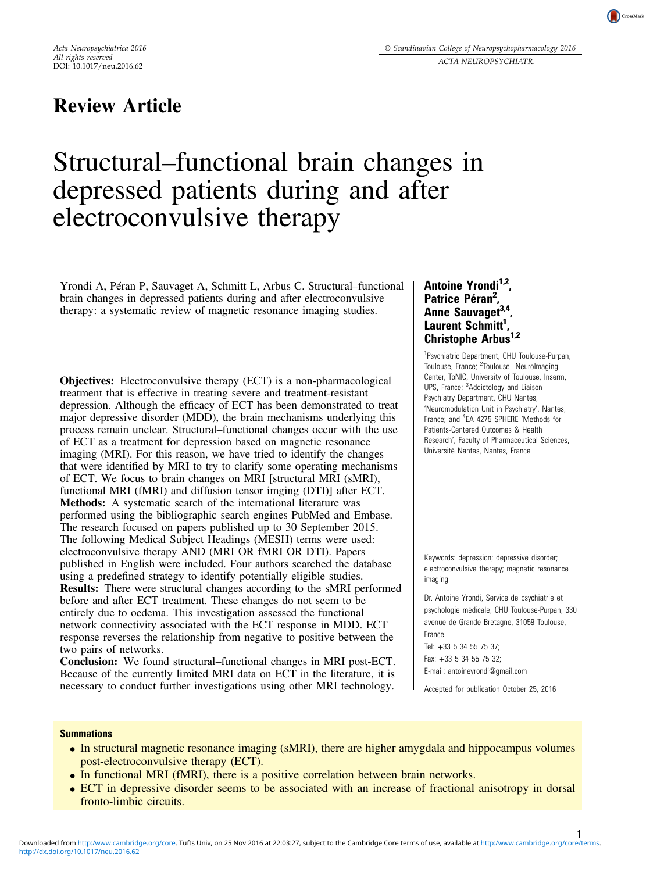CrossMark

# Review Article

# Structural–functional brain changes in depressed patients during and after electroconvulsive therapy

Yrondi A, Péran P, Sauvaget A, Schmitt L, Arbus C. Structural–functional brain changes in depressed patients during and after electroconvulsive therapy: a systematic review of magnetic resonance imaging studies.

Objectives: Electroconvulsive therapy (ECT) is a non-pharmacological treatment that is effective in treating severe and treatment-resistant depression. Although the efficacy of ECT has been demonstrated to treat major depressive disorder (MDD), the brain mechanisms underlying this process remain unclear. Structural–functional changes occur with the use of ECT as a treatment for depression based on magnetic resonance imaging (MRI). For this reason, we have tried to identify the changes that were identified by MRI to try to clarify some operating mechanisms of ECT. We focus to brain changes on MRI [structural MRI (sMRI), functional MRI (fMRI) and diffusion tensor imging (DTI)] after ECT. Methods: A systematic search of the international literature was performed using the bibliographic search engines PubMed and Embase. The research focused on papers published up to 30 September 2015. The following Medical Subject Headings (MESH) terms were used: electroconvulsive therapy AND (MRI OR fMRI OR DTI). Papers published in English were included. Four authors searched the database using a predefined strategy to identify potentially eligible studies. Results: There were structural changes according to the sMRI performed before and after ECT treatment. These changes do not seem to be entirely due to oedema. This investigation assessed the functional network connectivity associated with the ECT response in MDD. ECT response reverses the relationship from negative to positive between the two pairs of networks.

Conclusion: We found structural–functional changes in MRI post-ECT. Because of the currently limited MRI data on ECT in the literature, it is necessary to conduct further investigations using other MRI technology.

## Antoine Yrondi<sup>1,2</sup>. Patrice Péran<sup>2</sup>, Anne Sauvaget<sup>3,4</sup> Laurent Schmitt<sup>1</sup>, Christophe Arbus<sup>1,2</sup>

1 Psychiatric Department, CHU Toulouse-Purpan, Toulouse, France; <sup>2</sup>Toulouse Neurolmaging Center, ToNIC, University of Toulouse, Inserm, UPS, France; <sup>3</sup>Addictology and Liaison Psychiatry Department, CHU Nantes, 'Neuromodulation Unit in Psychiatry', Nantes, France; and <sup>4</sup>EA 4275 SPHERE 'Methods for Patients-Centered Outcomes & Health Research', Faculty of Pharmaceutical Sciences, Université Nantes, Nantes, France

Keywords: depression; depressive disorder; electroconvulsive therapy; magnetic resonance imaging

Dr. Antoine Yrondi, Service de psychiatrie et psychologie médicale, CHU Toulouse-Purpan, 330 avenue de Grande Bretagne, 31059 Toulouse, France. Tel: +33 5 34 55 75 37; Fax: +33 5 34 55 75 32;

E-mail: [antoineyrondi@gmail.com](mailto:antoineyrondi@gmail.com)

Accepted for publication October 25, 2016

1

#### **Summations**

- ∙ In structural magnetic resonance imaging (sMRI), there are higher amygdala and hippocampus volumes post-electroconvulsive therapy (ECT).
- ∙ In functional MRI (fMRI), there is a positive correlation between brain networks.
- ∙ ECT in depressive disorder seems to be associated with an increase of fractional anisotropy in dorsal fronto-limbic circuits.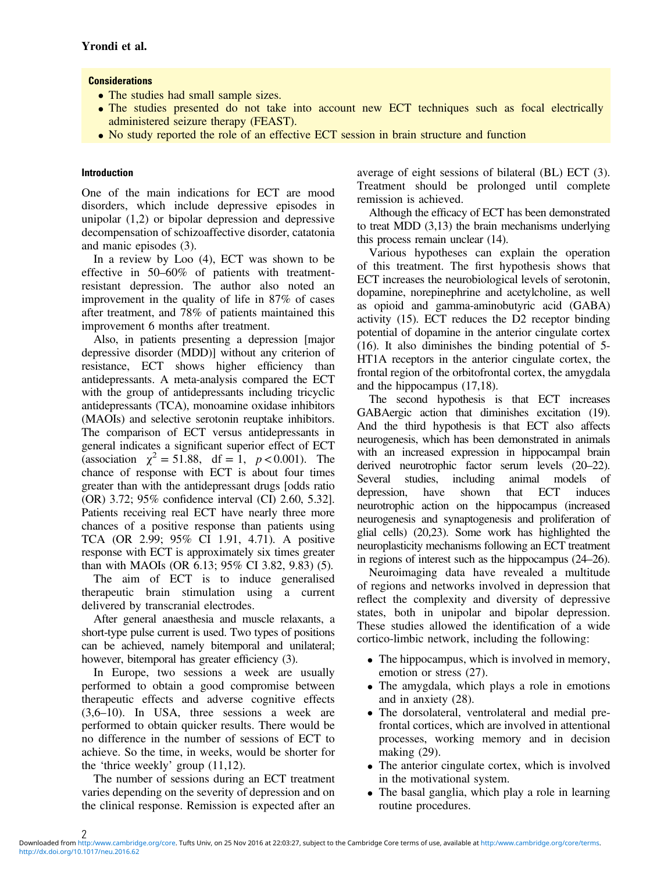#### **Considerations**

- ∙ The studies had small sample sizes.
- The studies presented do not take into account new ECT techniques such as focal electrically administered seizure therapy (FEAST).
- ∙ No study reported the role of an effective ECT session in brain structure and function

#### Introduction

One of the main indications for ECT are mood disorders, which include depressive episodes in unipolar ([1,2\)](#page-8-0) or bipolar depression and depressive decompensation of schizoaffective disorder, catatonia and manic episodes [\(3\)](#page-8-0).

In a review by Loo ([4](#page-8-0)), ECT was shown to be effective in 50–60% of patients with treatmentresistant depression. The author also noted an improvement in the quality of life in 87% of cases after treatment, and 78% of patients maintained this improvement 6 months after treatment.

Also, in patients presenting a depression [major depressive disorder (MDD)] without any criterion of resistance, ECT shows higher efficiency than antidepressants. A meta-analysis compared the ECT with the group of antidepressants including tricyclic antidepressants (TCA), monoamine oxidase inhibitors (MAOIs) and selective serotonin reuptake inhibitors. The comparison of ECT versus antidepressants in general indicates a significant superior effect of ECT (association  $\chi^2 = 51.88$ , df = 1, p < 0.001). The chance of response with ECT is about four times greater than with the antidepressant drugs [odds ratio (OR) 3.72; 95% confidence interval (CI) 2.60, 5.32]. Patients receiving real ECT have nearly three more chances of a positive response than patients using TCA (OR 2.99; 95% CI 1.91, 4.71). A positive response with ECT is approximately six times greater than with MAOIs (OR 6.13; 95% CI 3.82, 9.83) [\(5](#page-8-0)).

The aim of ECT is to induce generalised therapeutic brain stimulation using a current delivered by transcranial electrodes.

After general anaesthesia and muscle relaxants, a short-type pulse current is used. Two types of positions can be achieved, namely bitemporal and unilateral; however, bitemporal has greater efficiency [\(3\)](#page-8-0).

In Europe, two sessions a week are usually performed to obtain a good compromise between therapeutic effects and adverse cognitive effects ([3](#page-8-0),[6](#page-8-0)–[10](#page-8-0)). In USA, three sessions a week are performed to obtain quicker results. There would be no difference in the number of sessions of ECT to achieve. So the time, in weeks, would be shorter for the 'thrice weekly' group [\(11,12](#page-8-0)).

The number of sessions during an ECT treatment varies depending on the severity of depression and on the clinical response. Remission is expected after an

average of eight sessions of bilateral (BL) ECT ([3](#page-8-0)). Treatment should be prolonged until complete remission is achieved.

Although the efficacy of ECT has been demonstrated to treat MDD [\(3,13](#page-8-0)) the brain mechanisms underlying this process remain unclear [\(14](#page-8-0)).

Various hypotheses can explain the operation of this treatment. The first hypothesis shows that ECT increases the neurobiological levels of serotonin, dopamine, norepinephrine and acetylcholine, as well as opioid and gamma-aminobutyric acid (GABA) activity [\(15\)](#page-8-0). ECT reduces the D2 receptor binding potential of dopamine in the anterior cingulate cortex ([16](#page-8-0)). It also diminishes the binding potential of 5- HT1A receptors in the anterior cingulate cortex, the frontal region of the orbitofrontal cortex, the amygdala and the hippocampus ([17](#page-8-0),[18](#page-8-0)).

The second hypothesis is that ECT increases GABAergic action that diminishes excitation [\(19\)](#page-9-0). And the third hypothesis is that ECT also affects neurogenesis, which has been demonstrated in animals with an increased expression in hippocampal brain derived neurotrophic factor serum levels [\(20](#page-9-0)–[22\)](#page-9-0).<br>Several studies, including animal models of Several studies, including animal models of depression. have shown that ECT induces depression, neurotrophic action on the hippocampus (increased neurogenesis and synaptogenesis and proliferation of glial cells) [\(20](#page-9-0),[23\)](#page-9-0). Some work has highlighted the neuroplasticity mechanisms following an ECT treatment in regions of interest such as the hippocampus [\(24](#page-9-0)–[26\)](#page-9-0).

Neuroimaging data have revealed a multitude of regions and networks involved in depression that reflect the complexity and diversity of depressive states, both in unipolar and bipolar depression. These studies allowed the identification of a wide cortico-limbic network, including the following:

- ∙ The hippocampus, which is involved in memory, emotion or stress ([27\)](#page-9-0).
- ∙ The amygdala, which plays a role in emotions and in anxiety ([28\)](#page-9-0).
- ∙ The dorsolateral, ventrolateral and medial prefrontal cortices, which are involved in attentional processes, working memory and in decision making ([29](#page-9-0)).
- ∙ The anterior cingulate cortex, which is involved in the motivational system.
- ∙ The basal ganglia, which play a role in learning routine procedures.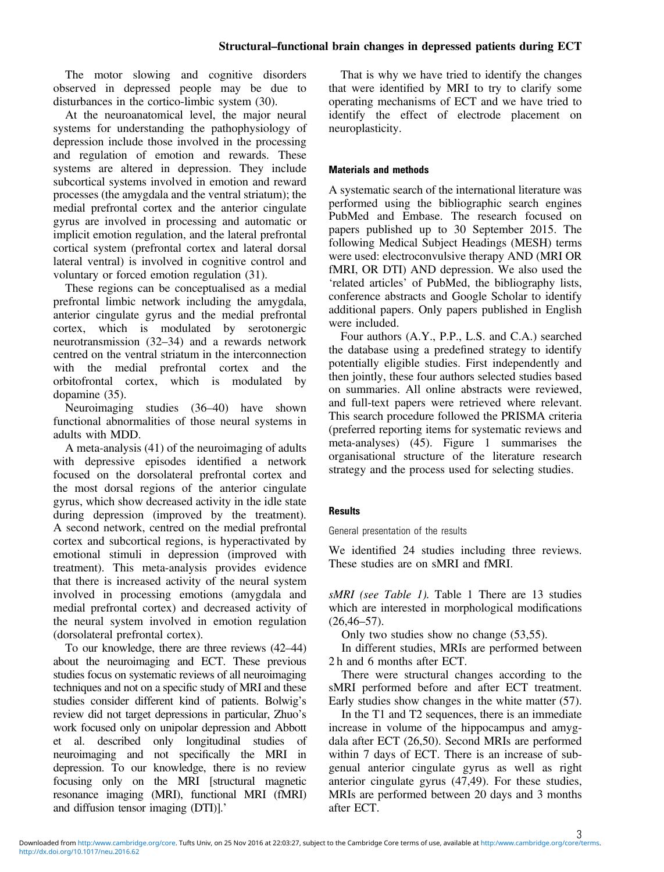The motor slowing and cognitive disorders observed in depressed people may be due to disturbances in the cortico-limbic system [\(30](#page-9-0)).

At the neuroanatomical level, the major neural systems for understanding the pathophysiology of depression include those involved in the processing and regulation of emotion and rewards. These systems are altered in depression. They include subcortical systems involved in emotion and reward processes (the amygdala and the ventral striatum); the medial prefrontal cortex and the anterior cingulate gyrus are involved in processing and automatic or implicit emotion regulation, and the lateral prefrontal cortical system (prefrontal cortex and lateral dorsal lateral ventral) is involved in cognitive control and voluntary or forced emotion regulation [\(31\)](#page-9-0).

These regions can be conceptualised as a medial prefrontal limbic network including the amygdala, anterior cingulate gyrus and the medial prefrontal cortex, which is modulated by serotonergic neurotransmission [\(32](#page-9-0)–[34](#page-9-0)) and a rewards network centred on the ventral striatum in the interconnection with the medial prefrontal cortex and the orbitofrontal cortex, which is modulated by dopamine ([35](#page-9-0)).

Neuroimaging studies ([36](#page-9-0)–[40](#page-9-0)) have shown functional abnormalities of those neural systems in adults with MDD.

A meta-analysis ([41\)](#page-9-0) of the neuroimaging of adults with depressive episodes identified a network focused on the dorsolateral prefrontal cortex and the most dorsal regions of the anterior cingulate gyrus, which show decreased activity in the idle state during depression (improved by the treatment). A second network, centred on the medial prefrontal cortex and subcortical regions, is hyperactivated by emotional stimuli in depression (improved with treatment). This meta-analysis provides evidence that there is increased activity of the neural system involved in processing emotions (amygdala and medial prefrontal cortex) and decreased activity of the neural system involved in emotion regulation (dorsolateral prefrontal cortex).

To our knowledge, there are three reviews [\(42](#page-9-0)–[44\)](#page-9-0) about the neuroimaging and ECT. These previous studies focus on systematic reviews of all neuroimaging techniques and not on a specific study of MRI and these studies consider different kind of patients. Bolwig's review did not target depressions in particular, Zhuo's work focused only on unipolar depression and Abbott et al. described only longitudinal studies of neuroimaging and not specifically the MRI in depression. To our knowledge, there is no review focusing only on the MRI [structural magnetic resonance imaging (MRI), functional MRI (fMRI) and diffusion tensor imaging (DTI)].'

That is why we have tried to identify the changes that were identified by MRI to try to clarify some operating mechanisms of ECT and we have tried to identify the effect of electrode placement on neuroplasticity.

#### Materials and methods

A systematic search of the international literature was performed using the bibliographic search engines PubMed and Embase. The research focused on papers published up to 30 September 2015. The following Medical Subject Headings (MESH) terms were used: electroconvulsive therapy AND (MRI OR fMRI, OR DTI) AND depression. We also used the 'related articles' of PubMed, the bibliography lists, conference abstracts and Google Scholar to identify additional papers. Only papers published in English were included.

Four authors (A.Y., P.P., L.S. and C.A.) searched the database using a predefined strategy to identify potentially eligible studies. First independently and then jointly, these four authors selected studies based on summaries. All online abstracts were reviewed, and full-text papers were retrieved where relevant. This search procedure followed the PRISMA criteria (preferred reporting items for systematic reviews and meta-analyses) [\(45\)](#page-9-0). [Figure 1](#page-3-0) summarises the organisational structure of the literature research strategy and the process used for selecting studies.

## **Results**

General presentation of the results

We identified 24 studies including three reviews. These studies are on sMRI and fMRI.

sMRI (see [Table 1](#page-4-0)). Table 1 There are 13 studies which are interested in morphological modifications  $(26, 46 - 57)$  $(26, 46 - 57)$  $(26, 46 - 57)$  $(26, 46 - 57)$  $(26, 46 - 57)$  $(26, 46 - 57)$ .

Only two studies show no change [\(53,](#page-9-0)[55](#page-10-0)).

In different studies, MRIs are performed between 2 h and 6 months after ECT.

There were structural changes according to the sMRI performed before and after ECT treatment. Early studies show changes in the white matter [\(57\)](#page-10-0).

In the T1 and T2 sequences, there is an immediate increase in volume of the hippocampus and amygdala after ECT ([26](#page-9-0),[50\)](#page-9-0). Second MRIs are performed within 7 days of ECT. There is an increase of subgenual anterior cingulate gyrus as well as right anterior cingulate gyrus [\(47](#page-9-0),[49](#page-9-0)). For these studies, MRIs are performed between 20 days and 3 months after ECT.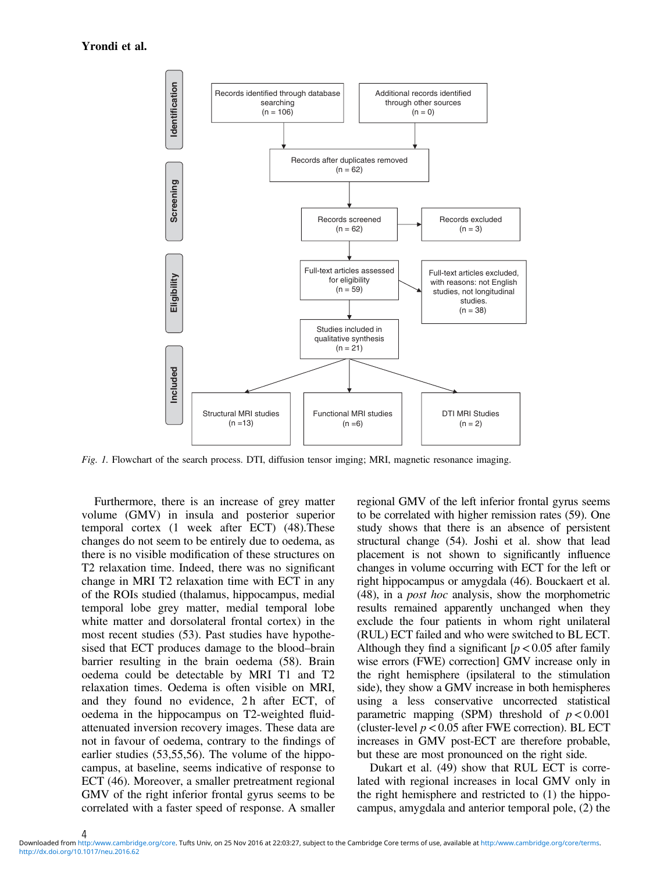<span id="page-3-0"></span>

Fig. 1. Flowchart of the search process. DTI, diffusion tensor imging; MRI, magnetic resonance imaging.

Furthermore, there is an increase of grey matter volume (GMV) in insula and posterior superior temporal cortex (1 week after ECT) [\(48\)](#page-9-0).These changes do not seem to be entirely due to oedema, as there is no visible modification of these structures on T2 relaxation time. Indeed, there was no significant change in MRI T2 relaxation time with ECT in any of the ROIs studied (thalamus, hippocampus, medial temporal lobe grey matter, medial temporal lobe white matter and dorsolateral frontal cortex) in the most recent studies ([53](#page-9-0)). Past studies have hypothesised that ECT produces damage to the blood–brain barrier resulting in the brain oedema ([58\)](#page-10-0). Brain oedema could be detectable by MRI T1 and T2 relaxation times. Oedema is often visible on MRI, and they found no evidence, 2 h after ECT, of oedema in the hippocampus on T2-weighted fluidattenuated inversion recovery images. These data are not in favour of oedema, contrary to the findings of earlier studies [\(53](#page-9-0),[55,56\)](#page-10-0). The volume of the hippocampus, at baseline, seems indicative of response to ECT ([46\)](#page-9-0). Moreover, a smaller pretreatment regional GMV of the right inferior frontal gyrus seems to be correlated with a faster speed of response. A smaller regional GMV of the left inferior frontal gyrus seems to be correlated with higher remission rates [\(59\)](#page-10-0). One study shows that there is an absence of persistent structural change [\(54\)](#page-10-0). Joshi et al. show that lead placement is not shown to significantly influence changes in volume occurring with ECT for the left or right hippocampus or amygdala [\(46](#page-9-0)). Bouckaert et al. ([48](#page-9-0)), in a post hoc analysis, show the morphometric results remained apparently unchanged when they exclude the four patients in whom right unilateral (RUL) ECT failed and who were switched to BL ECT. Although they find a significant  $[p < 0.05]$  after family wise errors (FWE) correction] GMV increase only in the right hemisphere (ipsilateral to the stimulation side), they show a GMV increase in both hemispheres using a less conservative uncorrected statistical parametric mapping (SPM) threshold of  $p < 0.001$ (cluster-level  $p < 0.05$  after FWE correction). BL ECT increases in GMV post-ECT are therefore probable, but these are most pronounced on the right side.

Dukart et al. [\(49](#page-9-0)) show that RUL ECT is correlated with regional increases in local GMV only in the right hemisphere and restricted to (1) the hippocampus, amygdala and anterior temporal pole, (2) the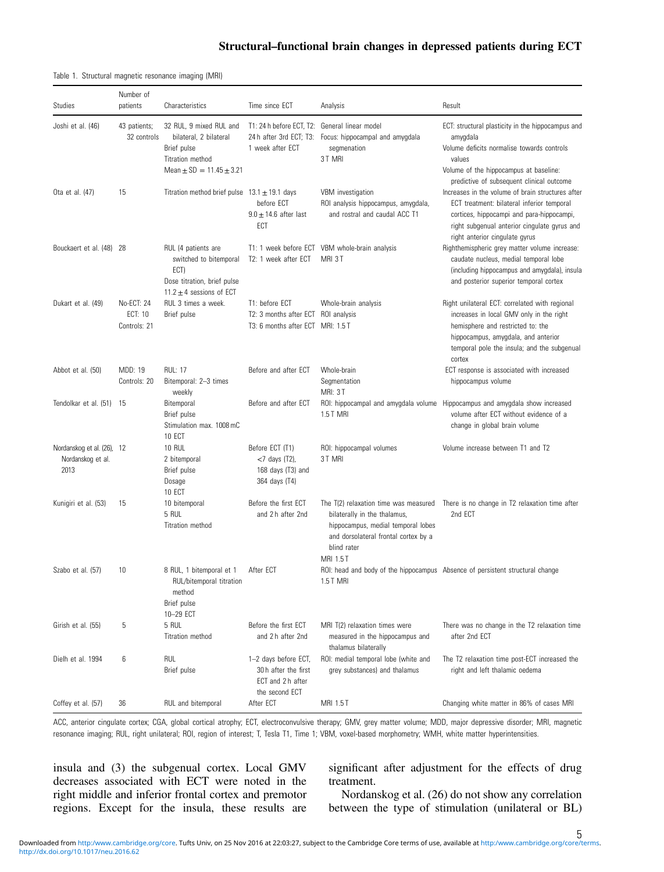#### Structural–functional brain changes in depressed patients during ECT

| <b>Studies</b>                                          | Number of<br>patients                 | Characteristics                                                                                                          | Time since ECT                                                                             | Analysis                                                                                                                                                                        | Result                                                                                                                                                                                                                          |
|---------------------------------------------------------|---------------------------------------|--------------------------------------------------------------------------------------------------------------------------|--------------------------------------------------------------------------------------------|---------------------------------------------------------------------------------------------------------------------------------------------------------------------------------|---------------------------------------------------------------------------------------------------------------------------------------------------------------------------------------------------------------------------------|
| Joshi et al. (46)                                       | 43 patients;<br>32 controls           | 32 RUL, 9 mixed RUL and<br>bilateral, 2 bilateral<br>Brief pulse<br>Titration method<br>Mean $\pm$ SD = 11.45 $\pm$ 3.21 | T1: 24 h before ECT, T2: General linear model<br>1 week after ECT                          | 24 h after 3rd ECT; T3: Focus: hippocampal and amygdala<br>segmenation<br>3T MRI                                                                                                | ECT: structural plasticity in the hippocampus and<br>amygdala<br>Volume deficits normalise towards controls<br>values<br>Volume of the hippocampus at baseline:<br>predictive of subsequent clinical outcome                    |
| Ota et al. (47)                                         | 15                                    | Titration method brief pulse $13.1 \pm 19.1$ days                                                                        | before ECT<br>$9.0 \pm 14.6$ after last<br>ECT                                             | VBM investigation<br>ROI analysis hippocampus, amygdala,<br>and rostral and caudal ACC T1                                                                                       | Increases in the volume of brain structures after<br>ECT treatment: bilateral inferior temporal<br>cortices, hippocampi and para-hippocampi,<br>right subgenual anterior cingulate gyrus and<br>right anterior cingulate gyrus  |
| Bouckaert et al. (48) 28                                |                                       | RUL (4 patients are<br>switched to bitemporal<br>ECT)<br>Dose titration, brief pulse<br>11.2 $\pm$ 4 sessions of ECT     | T2: 1 week after ECT                                                                       | T1: 1 week before ECT VBM whole-brain analysis<br>MRI 3T                                                                                                                        | Righthemispheric grey matter volume increase:<br>caudate nucleus, medial temporal lobe<br>(including hippocampus and amygdala), insula<br>and posterior superior temporal cortex                                                |
| Dukart et al. (49)                                      | No-ECT: 24<br>FCT: 10<br>Controls: 21 | RUL 3 times a week.<br>Brief pulse                                                                                       | T1: before ECT<br>T2: 3 months after ECT ROI analysis<br>T3: 6 months after ECT MRI: 1.5 T | Whole-brain analysis                                                                                                                                                            | Right unilateral ECT: correlated with regional<br>increases in local GMV only in the right<br>hemisphere and restricted to: the<br>hippocampus, amygdala, and anterior<br>temporal pole the insula; and the subgenual<br>cortex |
| Abbot et al. (50)                                       | <b>MDD: 19</b><br>Controls: 20        | <b>RUL: 17</b><br>Bitemporal: 2-3 times<br>weekly                                                                        | Before and after ECT                                                                       | Whole-brain<br>Segmentation<br>MRI: 3T                                                                                                                                          | ECT response is associated with increased<br>hippocampus volume                                                                                                                                                                 |
| Tendolkar et al. (51) 15                                |                                       | Bitemporal<br>Brief pulse<br>Stimulation max. 1008 mC<br><b>10 ECT</b>                                                   | Before and after ECT                                                                       | 1.5 T MRI                                                                                                                                                                       | ROI: hippocampal and amygdala volume Hippocampus and amygdala show increased<br>volume after ECT without evidence of a<br>change in global brain volume                                                                         |
| Nordanskog et al. (26), 12<br>Nordanskog et al.<br>2013 |                                       | <b>10 RUL</b><br>2 bitemporal<br>Brief pulse<br>Dosage<br><b>10 ECT</b>                                                  | Before ECT (T1)<br>$<$ 7 days (T2),<br>168 days (T3) and<br>364 days (T4)                  | ROI: hippocampal volumes<br>3T MRI                                                                                                                                              | Volume increase between T1 and T2                                                                                                                                                                                               |
| Kunigiri et al. (53)                                    | 15                                    | 10 bitemporal<br>5 RUL<br>Titration method                                                                               | Before the first ECT<br>and 2 h after 2nd                                                  | The T(2) relaxation time was measured<br>bilaterally in the thalamus,<br>hippocampus, medial temporal lobes<br>and dorsolateral frontal cortex by a<br>blind rater<br>MRI 1.5 T | There is no change in T2 relaxation time after<br>2nd ECT                                                                                                                                                                       |
| Szabo et al. (57)                                       | 10                                    | 8 RUL, 1 bitemporal et 1<br>RUL/bitemporal titration<br>method<br>Brief pulse<br>10-29 ECT                               | After ECT                                                                                  | 1.5 T MRI                                                                                                                                                                       | ROI: head and body of the hippocampus Absence of persistent structural change                                                                                                                                                   |
| Girish et al. (55)                                      | 5                                     | 5 RUL<br>Titration method                                                                                                | Before the first ECT<br>and 2 h after 2nd                                                  | MRI T(2) relaxation times were<br>measured in the hippocampus and<br>thalamus bilaterally                                                                                       | There was no change in the T2 relaxation time<br>after 2nd ECT                                                                                                                                                                  |
| Dielh et al. 1994                                       | 6                                     | <b>RUL</b><br>Brief pulse                                                                                                | 1-2 days before ECT,<br>30 h after the first<br>ECT and 2h after<br>the second ECT         | ROI: medial temporal lobe (white and<br>grey substances) and thalamus                                                                                                           | The T2 relaxation time post-ECT increased the<br>right and left thalamic oedema                                                                                                                                                 |
| Coffey et al. (57)                                      | 36                                    | RUL and bitemporal                                                                                                       | After ECT                                                                                  | MRI 1.5T                                                                                                                                                                        | Changing white matter in 86% of cases MRI                                                                                                                                                                                       |

<span id="page-4-0"></span>Table 1. Structural magnetic resonance imaging (MRI)

ACC, anterior cingulate cortex; CGA, global cortical atrophy; ECT, electroconvulsive therapy; GMV, grey matter volume; MDD, major depressive disorder; MRI, magnetic resonance imaging; RUL, right unilateral; ROI, region of interest; T, Tesla T1, Time 1; VBM, voxel-based morphometry; WMH, white matter hyperintensities.

insula and (3) the subgenual cortex. Local GMV decreases associated with ECT were noted in the right middle and inferior frontal cortex and premotor regions. Except for the insula, these results are significant after adjustment for the effects of drug treatment.

Nordanskog et al. [\(26](#page-9-0)) do not show any correlation between the type of stimulation (unilateral or BL)

5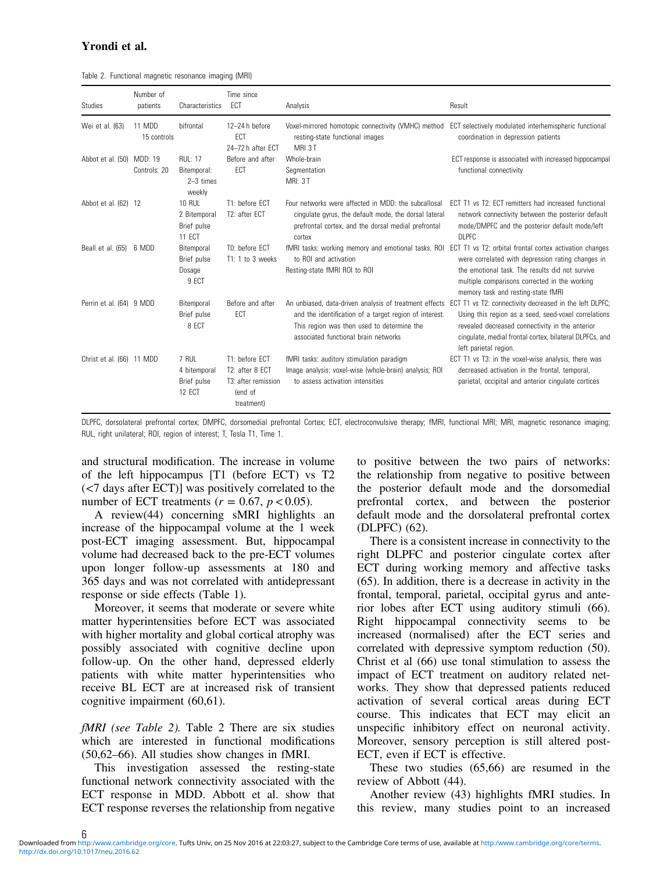#### <span id="page-5-0"></span>Yrondi et al.

Table 2. Functional magnetic resonance imaging (MRI)

| <b>Studies</b>            | Number of<br>patients   | Characteristics                                        | Time since<br>ECT                                                                              | Analysis                                                                                                                                                                                               | Result                                                                                                                                                                                                                                                 |
|---------------------------|-------------------------|--------------------------------------------------------|------------------------------------------------------------------------------------------------|--------------------------------------------------------------------------------------------------------------------------------------------------------------------------------------------------------|--------------------------------------------------------------------------------------------------------------------------------------------------------------------------------------------------------------------------------------------------------|
| Wei et al. (63)           | 11 MDD<br>15 controls   | bifrontal                                              | 12-24 h before<br>ECT<br>24-72 h after ECT                                                     | Voxel-mirrored homotopic connectivity (VMHC) method<br>resting-state functional images<br>MRI 3T                                                                                                       | ECT selectively modulated interhemispheric functional<br>coordination in depression patients                                                                                                                                                           |
| Abbot et al. (50)         | MDD: 19<br>Controls: 20 | RUI: 17<br>Bitemporal:<br>$2-3$ times<br>weekly        | Before and after<br>ECT                                                                        | Whole-brain<br>Segmentation<br><b>MRI: 3T</b>                                                                                                                                                          | ECT response is associated with increased hippocampal<br>functional connectivity                                                                                                                                                                       |
| Abbot et al. (62) 12      |                         | 10 RUI<br>2 Bitemporal<br>Brief pulse<br><b>11 ECT</b> | T1: before FCT<br>T2: after ECT                                                                | Four networks were affected in MDD: the subcallosal<br>cingulate gyrus, the default mode, the dorsal lateral<br>prefrontal cortex, and the dorsal medial prefrontal<br>cortex                          | FCT T1 vs T2: FCT remitters had increased functional<br>network connectivity between the posterior default<br>mode/DMPFC and the posterior default mode/left<br><b>DLPFC</b>                                                                           |
| Beall et al. (65) 6 MDD   |                         | Bitemporal<br>Brief pulse<br>Dosage<br>9 ECT           | T0: before ECT<br>$T1: 1$ to 3 weeks                                                           | fMRI tasks: working memory and emotional tasks. ROI ECT T1 vs T2: orbital frontal cortex activation changes<br>to ROI and activation<br>Resting-state fMRI ROI to ROI                                  | were correlated with depression rating changes in<br>the emotional task. The results did not survive<br>multiple comparisons corrected in the working<br>memory task and resting-state fMRI                                                            |
| Perrin et al. (64) 9 MDD  |                         | Bitemporal<br>Brief pulse<br>8 ECT                     | Before and after<br>ECT                                                                        | An unbiased, data-driven analysis of treatment effects<br>and the identification of a target region of interest.<br>This region was then used to determine the<br>associated functional brain networks | ECT T1 vs T2: connectivity decreased in the left DLPFC;<br>Using this region as a seed, seed-voxel correlations<br>revealed decreased connectivity in the anterior<br>cinqulate, medial frontal cortex, bilateral DLPFCs, and<br>left parietal region. |
| Christ et al. (66) 11 MDD |                         | 7 RUL<br>4 bitemporal<br>Brief pulse<br>12 ECT         | T1: before FCT<br>T2: after 8 ECT<br>T <sub>3</sub> : after remission<br>lend of<br>treatment) | fMRI tasks: auditory stimulation paradigm<br>Image analysis: voxel-wise (whole-brain) analysis; ROI<br>to assess activation intensities                                                                | ECT T1 vs T3: in the voxel-wise analysis, there was<br>decreased activation in the frontal, temporal,<br>parietal, occipital and anterior cingulate cortices                                                                                           |

DLPFC, dorsolateral prefrontal cortex; DMPFC, dorsomedial prefrontal Cortex; ECT, electroconvulsive therapy; fMRI, functional MRI; MRI, magnetic resonance imaging; RUL, right unilateral; ROI, region of interest; T, Tesla T1, Time 1.

and structural modification. The increase in volume of the left hippocampus [T1 (before ECT) vs T2 (<7 days after ECT)] was positively correlated to the number of ECT treatments ( $r = 0.67$ ,  $p < 0.05$ ).

A review[\(44\)](#page-9-0) concerning sMRI highlights an increase of the hippocampal volume at the 1 week post-ECT imaging assessment. But, hippocampal volume had decreased back to the pre-ECT volumes upon longer follow-up assessments at 180 and 365 days and was not correlated with antidepressant response or side effects ([Table 1\)](#page-4-0).

Moreover, it seems that moderate or severe white matter hyperintensities before ECT was associated with higher mortality and global cortical atrophy was possibly associated with cognitive decline upon follow-up. On the other hand, depressed elderly patients with white matter hyperintensities who receive BL ECT are at increased risk of transient cognitive impairment ([60,61](#page-10-0)).

fMRI (see Table 2). Table 2 There are six studies which are interested in functional modifications ([50](#page-9-0)[,62](#page-10-0)–[66\)](#page-10-0). All studies show changes in fMRI.

This investigation assessed the resting-state functional network connectivity associated with the ECT response in MDD. Abbott et al. show that ECT response reverses the relationship from negative

to positive between the two pairs of networks: the relationship from negative to positive between the posterior default mode and the dorsomedial prefrontal cortex, and between the posterior default mode and the dorsolateral prefrontal cortex (DLPFC) [\(62](#page-10-0)).

There is a consistent increase in connectivity to the right DLPFC and posterior cingulate cortex after ECT during working memory and affective tasks ([65](#page-10-0)). In addition, there is a decrease in activity in the frontal, temporal, parietal, occipital gyrus and anterior lobes after ECT using auditory stimuli ([66](#page-10-0)). Right hippocampal connectivity seems to be increased (normalised) after the ECT series and correlated with depressive symptom reduction ([50](#page-9-0)). Christ et al ([66](#page-10-0)) use tonal stimulation to assess the impact of ECT treatment on auditory related networks. They show that depressed patients reduced activation of several cortical areas during ECT course. This indicates that ECT may elicit an unspecific inhibitory effect on neuronal activity. Moreover, sensory perception is still altered post-ECT, even if ECT is effective.

These two studies ([65,66\)](#page-10-0) are resumed in the review of Abbott ([44](#page-9-0)).

Another review ([43\)](#page-9-0) highlights fMRI studies. In this review, many studies point to an increased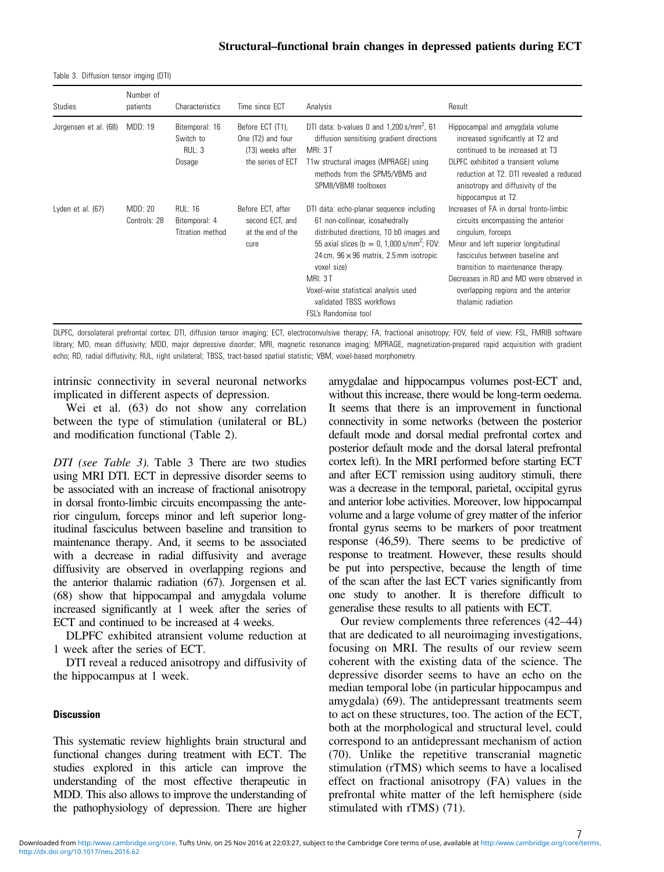#### Structural–functional brain changes in depressed patients during ECT

#### Table 3. Diffusion tensor imging (DTI)

| Studies               | Number of<br>patients   | <b>Characteristics</b>                              | Time since ECT                                                                 | Analysis                                                                                                                                                                                                                                                                                                                                                         | Result                                                                                                                                                                                                                                                                                                                       |
|-----------------------|-------------------------|-----------------------------------------------------|--------------------------------------------------------------------------------|------------------------------------------------------------------------------------------------------------------------------------------------------------------------------------------------------------------------------------------------------------------------------------------------------------------------------------------------------------------|------------------------------------------------------------------------------------------------------------------------------------------------------------------------------------------------------------------------------------------------------------------------------------------------------------------------------|
| Jorgensen et al. (68) | MDD: 19                 | Bitemporal: 16<br>Switch to<br>RUL: 3<br>Dosage     | Before ECT (T1),<br>One (T2) and four<br>(T3) weeks after<br>the series of ECT | DTI data: b-values 0 and 1,200 s/mm <sup>2</sup> , 61<br>diffusion sensitising gradient directions<br>MRI: 3T<br>T1w structural images (MPRAGE) using<br>methods from the SPM5/VBM5 and                                                                                                                                                                          | Hippocampal and amygdala volume<br>increased significantly at T2 and<br>continued to be increased at T3<br>DLPFC exhibited a transient volume<br>reduction at T2. DTI revealed a reduced<br>anisotropy and diffusivity of the<br>hippocampus at T2                                                                           |
|                       |                         |                                                     |                                                                                | SPM8/VBM8 toolboxes                                                                                                                                                                                                                                                                                                                                              |                                                                                                                                                                                                                                                                                                                              |
| Lyden et al. (67)     | MDD: 20<br>Controls: 28 | <b>RUL: 16</b><br>Bitemporal: 4<br>Titration method | Before ECT, after<br>second ECT, and<br>at the end of the<br>cure              | DTI data: echo-planar sequence including<br>61 non-collinear, icosahedrally<br>distributed directions, 10 b0 images and<br>55 axial slices (b = 0, 1,000 s/mm <sup>2</sup> ; FOV:<br>24 cm, $96 \times 96$ matrix, 2.5 mm isotropic<br>voxel size)<br><b>MRI: 3T</b><br>Voxel-wise statistical analysis used<br>validated TBSS workflows<br>FSL's Randomise tool | Increases of FA in dorsal fronto-limbic<br>circuits encompassing the anterior<br>cingulum, forceps<br>Minor and left superior longitudinal<br>fasciculus between baseline and<br>transition to maintenance therapy.<br>Decreases in RD and MD were observed in<br>overlapping regions and the anterior<br>thalamic radiation |

DLPFC, dorsolateral prefrontal cortex; DTI, diffusion tensor imaging; ECT, electroconvulsive therapy; FA, fractional anisotropy; FOV, field of view; FSL, FMRIB software library; MD, mean diffusivity; MDD, major depressive disorder; MRI, magnetic resonance imaging; MPRAGE, magnetization-prepared rapid acquisition with gradient echo; RD, radial diffusivity; RUL, right unilateral; TBSS, tract-based spatial statistic; VBM, voxel-based morphometry.

intrinsic connectivity in several neuronal networks implicated in different aspects of depression.

Wei et al. ([63](#page-10-0)) do not show any correlation between the type of stimulation (unilateral or BL) and modification functional ([Table 2\)](#page-5-0).

DTI (see Table 3). Table 3 There are two studies using MRI DTI. ECT in depressive disorder seems to be associated with an increase of fractional anisotropy in dorsal fronto-limbic circuits encompassing the anterior cingulum, forceps minor and left superior longitudinal fasciculus between baseline and transition to maintenance therapy. And, it seems to be associated with a decrease in radial diffusivity and average diffusivity are observed in overlapping regions and the anterior thalamic radiation ([67\)](#page-10-0). Jorgensen et al. [\(68](#page-10-0)) show that hippocampal and amygdala volume increased significantly at 1 week after the series of ECT and continued to be increased at 4 weeks.

DLPFC exhibited atransient volume reduction at 1 week after the series of ECT.

DTI reveal a reduced anisotropy and diffusivity of the hippocampus at 1 week.

#### **Discussion**

This systematic review highlights brain structural and functional changes during treatment with ECT. The studies explored in this article can improve the understanding of the most effective therapeutic in MDD. This also allows to improve the understanding of the pathophysiology of depression. There are higher

amygdalae and hippocampus volumes post-ECT and, without this increase, there would be long-term oedema. It seems that there is an improvement in functional connectivity in some networks (between the posterior default mode and dorsal medial prefrontal cortex and posterior default mode and the dorsal lateral prefrontal cortex left). In the MRI performed before starting ECT and after ECT remission using auditory stimuli, there was a decrease in the temporal, parietal, occipital gyrus and anterior lobe activities. Moreover, low hippocampal volume and a large volume of grey matter of the inferior frontal gyrus seems to be markers of poor treatment response [\(46](#page-9-0),[59\)](#page-10-0). There seems to be predictive of response to treatment. However, these results should be put into perspective, because the length of time of the scan after the last ECT varies significantly from one study to another. It is therefore difficult to generalise these results to all patients with ECT.

Our review complements three references ([42](#page-9-0)–[44\)](#page-9-0) that are dedicated to all neuroimaging investigations, focusing on MRI. The results of our review seem coherent with the existing data of the science. The depressive disorder seems to have an echo on the median temporal lobe (in particular hippocampus and amygdala) ([69\)](#page-10-0). The antidepressant treatments seem to act on these structures, too. The action of the ECT, both at the morphological and structural level, could correspond to an antidepressant mechanism of action [\(70](#page-10-0)). Unlike the repetitive transcranial magnetic stimulation (rTMS) which seems to have a localised effect on fractional anisotropy (FA) values in the prefrontal white matter of the left hemisphere (side stimulated with rTMS) ([71](#page-10-0)).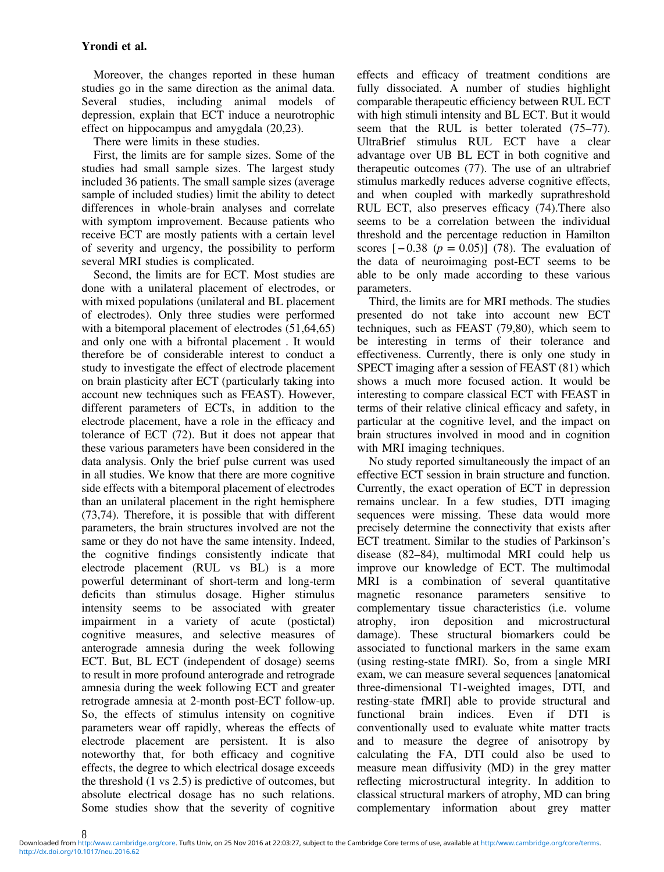#### Yrondi et al.

Moreover, the changes reported in these human studies go in the same direction as the animal data. Several studies, including animal models of depression, explain that ECT induce a neurotrophic effect on hippocampus and amygdala [\(20](#page-9-0),[23](#page-9-0)).

There were limits in these studies.

First, the limits are for sample sizes. Some of the studies had small sample sizes. The largest study included 36 patients. The small sample sizes (average sample of included studies) limit the ability to detect differences in whole-brain analyses and correlate with symptom improvement. Because patients who receive ECT are mostly patients with a certain level of severity and urgency, the possibility to perform several MRI studies is complicated.

Second, the limits are for ECT. Most studies are done with a unilateral placement of electrodes, or with mixed populations (unilateral and BL placement of electrodes). Only three studies were performed with a bitemporal placement of electrodes  $(51, 64, 65)$  $(51, 64, 65)$ and only one with a bifrontal placement . It would therefore be of considerable interest to conduct a study to investigate the effect of electrode placement on brain plasticity after ECT (particularly taking into account new techniques such as FEAST). However, different parameters of ECTs, in addition to the electrode placement, have a role in the efficacy and tolerance of ECT ([72\)](#page-10-0). But it does not appear that these various parameters have been considered in the data analysis. Only the brief pulse current was used in all studies. We know that there are more cognitive side effects with a bitemporal placement of electrodes than an unilateral placement in the right hemisphere ([73,74\)](#page-10-0). Therefore, it is possible that with different parameters, the brain structures involved are not the same or they do not have the same intensity. Indeed, the cognitive findings consistently indicate that electrode placement (RUL vs BL) is a more powerful determinant of short-term and long-term deficits than stimulus dosage. Higher stimulus intensity seems to be associated with greater impairment in a variety of acute (postictal) cognitive measures, and selective measures of anterograde amnesia during the week following ECT. But, BL ECT (independent of dosage) seems to result in more profound anterograde and retrograde amnesia during the week following ECT and greater retrograde amnesia at 2-month post-ECT follow-up. So, the effects of stimulus intensity on cognitive parameters wear off rapidly, whereas the effects of electrode placement are persistent. It is also noteworthy that, for both efficacy and cognitive effects, the degree to which electrical dosage exceeds the threshold (1 vs 2.5) is predictive of outcomes, but absolute electrical dosage has no such relations. Some studies show that the severity of cognitive

effects and efficacy of treatment conditions are fully dissociated. A number of studies highlight comparable therapeutic efficiency between RUL ECT with high stimuli intensity and BL ECT. But it would seem that the RUL is better tolerated ([75](#page-10-0)–[77](#page-10-0)). UltraBrief stimulus RUL ECT have a clear advantage over UB BL ECT in both cognitive and therapeutic outcomes [\(77\)](#page-10-0). The use of an ultrabrief stimulus markedly reduces adverse cognitive effects, and when coupled with markedly suprathreshold RUL ECT, also preserves efficacy ([74\)](#page-10-0).There also seems to be a correlation between the individual threshold and the percentage reduction in Hamilton scores  $[-0.38 \, (p = 0.05)]$  ([78\)](#page-10-0). The evaluation of the data of neuroimaging post-ECT seems to be able to be only made according to these various parameters.

Third, the limits are for MRI methods. The studies presented do not take into account new ECT techniques, such as FEAST ([79,80](#page-10-0)), which seem to be interesting in terms of their tolerance and effectiveness. Currently, there is only one study in SPECT imaging after a session of FEAST ([81](#page-10-0)) which shows a much more focused action. It would be interesting to compare classical ECT with FEAST in terms of their relative clinical efficacy and safety, in particular at the cognitive level, and the impact on brain structures involved in mood and in cognition with MRI imaging techniques.

No study reported simultaneously the impact of an effective ECT session in brain structure and function. Currently, the exact operation of ECT in depression remains unclear. In a few studies, DTI imaging sequences were missing. These data would more precisely determine the connectivity that exists after ECT treatment. Similar to the studies of Parkinson's disease ([82](#page-10-0)–[84\)](#page-10-0), multimodal MRI could help us improve our knowledge of ECT. The multimodal MRI is a combination of several quantitative magnetic resonance parameters sensitive to complementary tissue characteristics (i.e. volume atrophy, iron deposition and microstructural damage). These structural biomarkers could be associated to functional markers in the same exam (using resting-state fMRI). So, from a single MRI exam, we can measure several sequences [anatomical three-dimensional T1-weighted images, DTI, and resting-state fMRI] able to provide structural and functional brain indices. Even if DTI is conventionally used to evaluate white matter tracts and to measure the degree of anisotropy by calculating the FA, DTI could also be used to measure mean diffusivity (MD) in the grey matter reflecting microstructural integrity. In addition to classical structural markers of atrophy, MD can bring complementary information about grey matter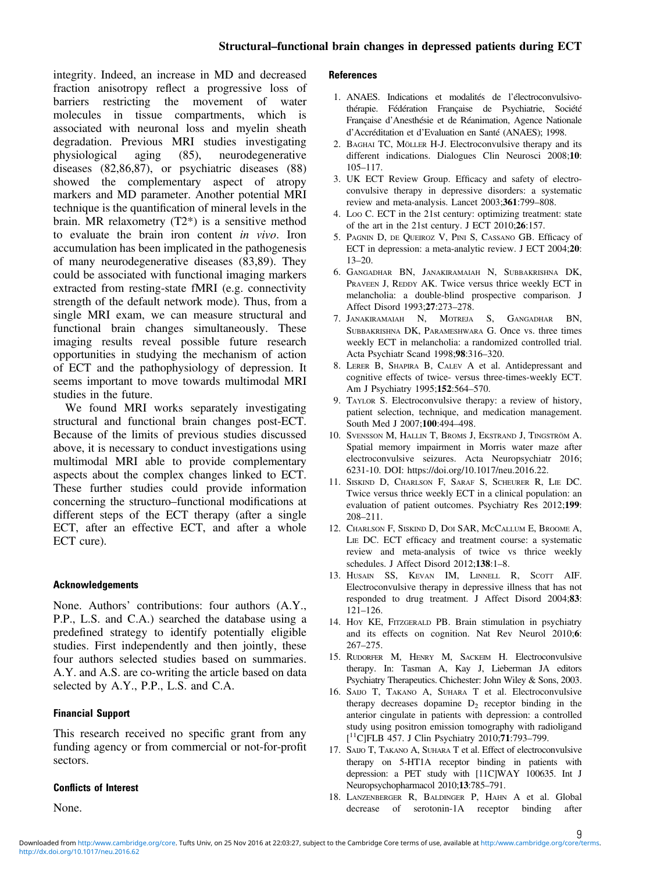<span id="page-8-0"></span>integrity. Indeed, an increase in MD and decreased fraction anisotropy reflect a progressive loss of barriers restricting the movement of water molecules in tissue compartments, which is associated with neuronal loss and myelin sheath degradation. Previous MRI studies investigating<br>physiological aging (85), neurodegenerative physiological aging ([85\)](#page-10-0), neurodegenerative diseases ([82](#page-10-0),[86,](#page-10-0)[87](#page-11-0)), or psychiatric diseases ([88\)](#page-11-0) showed the complementary aspect of atropy markers and MD parameter. Another potential MRI technique is the quantification of mineral levels in the brain. MR relaxometry (T2\*) is a sensitive method to evaluate the brain iron content in vivo. Iron accumulation has been implicated in the pathogenesis of many neurodegenerative diseases ([83](#page-10-0)[,89\)](#page-11-0). They could be associated with functional imaging markers extracted from resting-state fMRI (e.g. connectivity strength of the default network mode). Thus, from a single MRI exam, we can measure structural and functional brain changes simultaneously. These imaging results reveal possible future research opportunities in studying the mechanism of action of ECT and the pathophysiology of depression. It seems important to move towards multimodal MRI studies in the future.

We found MRI works separately investigating structural and functional brain changes post-ECT. Because of the limits of previous studies discussed above, it is necessary to conduct investigations using multimodal MRI able to provide complementary aspects about the complex changes linked to ECT. These further studies could provide information concerning the structuro–functional modifications at different steps of the ECT therapy (after a single ECT, after an effective ECT, and after a whole ECT cure).

#### Acknowledgements

None. Authors' contributions: four authors (A.Y., P.P., L.S. and C.A.) searched the database using a predefined strategy to identify potentially eligible studies. First independently and then jointly, these four authors selected studies based on summaries. A.Y. and A.S. are co-writing the article based on data selected by A.Y., P.P., L.S. and C.A.

#### Financial Support

This research received no specific grant from any funding agency or from commercial or not-for-profit sectors.

#### Conflicts of Interest

None.

#### References

- 1. ANAES. Indications et modalités de l'électroconvulsivothérapie. Fédération Française de Psychiatrie, Société Française d'Anesthésie et de Réanimation, Agence Nationale d'Accréditation et d'Evaluation en Santé (ANAES); 1998.
- 2. BAGHAI TC, MÖLLER H-J. Electroconvulsive therapy and its different indications. Dialogues Clin Neurosci 2008;10: 105–117.
- 3. UK ECT Review Group. Efficacy and safety of electroconvulsive therapy in depressive disorders: a systematic review and meta-analysis. Lancet 2003;361:799–808.
- 4. LOO C. ECT in the 21st century: optimizing treatment: state of the art in the 21st century. J ECT 2010;26:157.
- 5. PAGNIN D, DE QUEIROZ V, PINI S, CASSANO GB. Efficacy of ECT in depression: a meta-analytic review. J ECT 2004;20: 13–20.
- 6. GANGADHAR BN, JANAKIRAMAIAH N, SUBBAKRISHNA DK, PRAVEEN J, REDDY AK. Twice versus thrice weekly ECT in melancholia: a double-blind prospective comparison. J Affect Disord 1993;27:273–278.
- 7. JANAKIRAMAIAH N, MOTREJA S, GANGADHAR BN, SUBBAKRISHNA DK, PARAMESHWARA G. Once vs. three times weekly ECT in melancholia: a randomized controlled trial. Acta Psychiatr Scand 1998;98:316–320.
- 8. LERER B, SHAPIRA B, CALEV A et al. Antidepressant and cognitive effects of twice- versus three-times-weekly ECT. Am J Psychiatry 1995;152:564–570.
- 9. TAYLOR S. Electroconvulsive therapy: a review of history, patient selection, technique, and medication management. South Med J 2007;100:494–498.
- 10. SVENSSON M, HALLIN T, BROMS J, EKSTRAND J, TINGSTRÖM A. Spatial memory impairment in Morris water maze after electroconvulsive seizures. Acta Neuropsychiatr 2016; 6231-10. DOI: https://doi.org/10.1017/neu.2016.22.
- 11. SISKIND D, CHARLSON F, SARAF S, SCHEURER R, LIE DC. Twice versus thrice weekly ECT in a clinical population: an evaluation of patient outcomes. Psychiatry Res 2012;199: 208–211.
- 12. CHARLSON F, SISKIND D, DOI SAR, MCCALLUM E, BROOME A, LIE DC. ECT efficacy and treatment course: a systematic review and meta-analysis of twice vs thrice weekly schedules. J Affect Disord 2012;138:1–8.
- 13. HUSAIN SS, KEVAN IM, LINNELL R, SCOTT AIF. Electroconvulsive therapy in depressive illness that has not responded to drug treatment. J Affect Disord 2004;83: 121–126.
- 14. HOY KE, FITZGERALD PB. Brain stimulation in psychiatry and its effects on cognition. Nat Rev Neurol 2010;6: 267–275.
- 15. RUDORFER M, HENRY M, SACKEIM H. Electroconvulsive therapy. In: Tasman A, Kay J, Lieberman JA editors Psychiatry Therapeutics. Chichester: John Wiley & Sons, 2003.
- 16. SAIJO T, TAKANO A, SUHARA T et al. Electroconvulsive therapy decreases dopamine  $D<sub>2</sub>$  receptor binding in the anterior cingulate in patients with depression: a controlled study using positron emission tomography with radioligand [ 11C]FLB 457. J Clin Psychiatry 2010;71:793–799.
- 17. SAIJO T, TAKANO A, SUHARA T et al. Effect of electroconvulsive therapy on 5-HT1A receptor binding in patients with depression: a PET study with [11C]WAY 100635. Int J Neuropsychopharmacol 2010;13:785–791.
- 18. LANZENBERGER R, BALDINGER P, HAHN A et al. Global decrease of serotonin-1A receptor binding after

9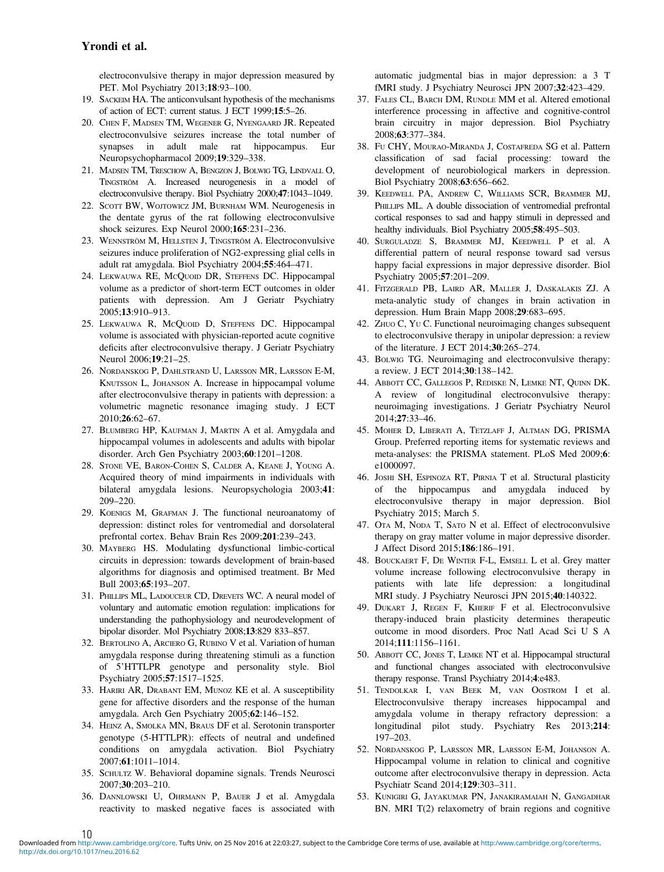<span id="page-9-0"></span>electroconvulsive therapy in major depression measured by PET. Mol Psychiatry 2013;18:93–100.

- 19. SACKEIM HA. The anticonvulsant hypothesis of the mechanisms of action of ECT: current status. J ECT 1999;15:5–26.
- 20. CHEN F, MADSEN TM, WEGENER G, NYENGAARD JR. Repeated electroconvulsive seizures increase the total number of synapses in adult male rat hippocampus. Eur Neuropsychopharmacol 2009;19:329–338.
- 21. MADSEN TM, TRESCHOW A, BENGZON J, BOLWIG TG, LINDVALL O, TINGSTRÖM A. Increased neurogenesis in a model of electroconvulsive therapy. Biol Psychiatry 2000;47:1043–1049.
- 22. SCOTT BW, WOJTOWICZ JM, BURNHAM WM. Neurogenesis in the dentate gyrus of the rat following electroconvulsive shock seizures. Exp Neurol 2000;165:231–236.
- 23. WENNSTRÖM M, HELLSTEN J, TINGSTRÖM A. Electroconvulsive seizures induce proliferation of NG2-expressing glial cells in adult rat amygdala. Biol Psychiatry 2004;55:464–471.
- 24. LEKWAUWA RE, MCQUOID DR, STEFFENS DC. Hippocampal volume as a predictor of short-term ECT outcomes in older patients with depression. Am J Geriatr Psychiatry 2005;13:910–913.
- 25. LEKWAUWA R, MCQUOID D, STEFFENS DC. Hippocampal volume is associated with physician-reported acute cognitive deficits after electroconvulsive therapy. J Geriatr Psychiatry Neurol 2006;19:21–25.
- 26. NORDANSKOG P, DAHLSTRAND U, LARSSON MR, LARSSON E-M, KNUTSSON L, JOHANSON A. Increase in hippocampal volume after electroconvulsive therapy in patients with depression: a volumetric magnetic resonance imaging study. J ECT 2010;26:62–67.
- 27. BLUMBERG HP, KAUFMAN J, MARTIN A et al. Amygdala and hippocampal volumes in adolescents and adults with bipolar disorder. Arch Gen Psychiatry 2003;60:1201–1208.
- 28. STONE VE, BARON-COHEN S, CALDER A, KEANE J, YOUNG A. Acquired theory of mind impairments in individuals with bilateral amygdala lesions. Neuropsychologia 2003;41: 209–220.
- 29. KOENIGS M, GRAFMAN J. The functional neuroanatomy of depression: distinct roles for ventromedial and dorsolateral prefrontal cortex. Behav Brain Res 2009;201:239–243.
- 30. MAYBERG HS. Modulating dysfunctional limbic-cortical circuits in depression: towards development of brain-based algorithms for diagnosis and optimised treatment. Br Med Bull 2003;65:193–207.
- 31. PHILLIPS ML, LADOUCEUR CD, DREVETS WC. A neural model of voluntary and automatic emotion regulation: implications for understanding the pathophysiology and neurodevelopment of bipolar disorder. Mol Psychiatry 2008;13:829 833–857.
- 32. BERTOLINO A, ARCIERO G, RUBINO V et al. Variation of human amygdala response during threatening stimuli as a function of 5'HTTLPR genotype and personality style. Biol Psychiatry 2005;57:1517–1525.
- 33. HARIRI AR, DRABANT EM, MUNOZ KE et al. A susceptibility gene for affective disorders and the response of the human amygdala. Arch Gen Psychiatry 2005;62:146–152.
- 34. HEINZ A, SMOLKA MN, BRAUS DF et al. Serotonin transporter genotype (5-HTTLPR): effects of neutral and undefined conditions on amygdala activation. Biol Psychiatry 2007;61:1011–1014.
- 35. SCHULTZ W. Behavioral dopamine signals. Trends Neurosci 2007;30:203–210.
- 36. DANNLOWSKI U, OHRMANN P, BAUER J et al. Amygdala reactivity to masked negative faces is associated with

automatic judgmental bias in major depression: a 3 T fMRI study. J Psychiatry Neurosci JPN 2007;32:423–429.

- 37. FALES CL, BARCH DM, RUNDLE MM et al. Altered emotional interference processing in affective and cognitive-control brain circuitry in major depression. Biol Psychiatry 2008;63:377–384.
- 38. FU CHY, MOURAO-MIRANDA J, COSTAFREDA SG et al. Pattern classification of sad facial processing: toward the development of neurobiological markers in depression. Biol Psychiatry 2008;63:656–662.
- 39. KEEDWELL PA, ANDREW C, WILLIAMS SCR, BRAMMER MJ, PHILLIPS ML. A double dissociation of ventromedial prefrontal cortical responses to sad and happy stimuli in depressed and healthy individuals. Biol Psychiatry 2005;58:495–503.
- 40. SURGULADZE S, BRAMMER MJ, KEEDWELL P et al. A differential pattern of neural response toward sad versus happy facial expressions in major depressive disorder. Biol Psychiatry 2005;57:201–209.
- 41. FITZGERALD PB, LAIRD AR, MALLER J, DASKALAKIS ZJ. A meta-analytic study of changes in brain activation in depression. Hum Brain Mapp 2008;29:683–695.
- 42. ZHUO C, YU C. Functional neuroimaging changes subsequent to electroconvulsive therapy in unipolar depression: a review of the literature. J ECT 2014;30:265–274.
- 43. BOLWIG TG. Neuroimaging and electroconvulsive therapy: a review. J ECT 2014;30:138–142.
- 44. ABBOTT CC, GALLEGOS P, REDISKE N, LEMKE NT, QUINN DK. A review of longitudinal electroconvulsive therapy: neuroimaging investigations. J Geriatr Psychiatry Neurol 2014;27:33–46.
- 45. MOHER D, LIBERATI A, TETZLAFF J, ALTMAN DG, PRISMA Group. Preferred reporting items for systematic reviews and meta-analyses: the PRISMA statement. PLoS Med 2009;6: e1000097.
- 46. JOSHI SH, ESPINOZA RT, PIRNIA T et al. Structural plasticity of the hippocampus and amygdala induced by electroconvulsive therapy in major depression. Biol Psychiatry 2015; March 5.
- 47. OTA M, NODA T, SATO N et al. Effect of electroconvulsive therapy on gray matter volume in major depressive disorder. J Affect Disord 2015;186:186–191.
- 48. BOUCKAERT F, DE WINTER F-L, EMSELL L et al. Grey matter volume increase following electroconvulsive therapy in patients with late life depression: a longitudinal MRI study. J Psychiatry Neurosci JPN 2015;40:140322.
- 49. DUKART J, REGEN F, KHERIF F et al. Electroconvulsive therapy-induced brain plasticity determines therapeutic outcome in mood disorders. Proc Natl Acad Sci U S A 2014;111:1156–1161.
- 50. ABBOTT CC, JONES T, LEMKE NT et al. Hippocampal structural and functional changes associated with electroconvulsive therapy response. Transl Psychiatry 2014;4:e483.
- 51. TENDOLKAR I, VAN BEEK M, VAN OOSTROM I et al. Electroconvulsive therapy increases hippocampal and amygdala volume in therapy refractory depression: a longitudinal pilot study. Psychiatry Res 2013;214: 197–203.
- 52. NORDANSKOG P, LARSSON MR, LARSSON E-M, JOHANSON A. Hippocampal volume in relation to clinical and cognitive outcome after electroconvulsive therapy in depression. Acta Psychiatr Scand 2014;129:303–311.
- 53. KUNIGIRI G, JAYAKUMAR PN, JANAKIRAMAIAH N, GANGADHAR BN. MRI T(2) relaxometry of brain regions and cognitive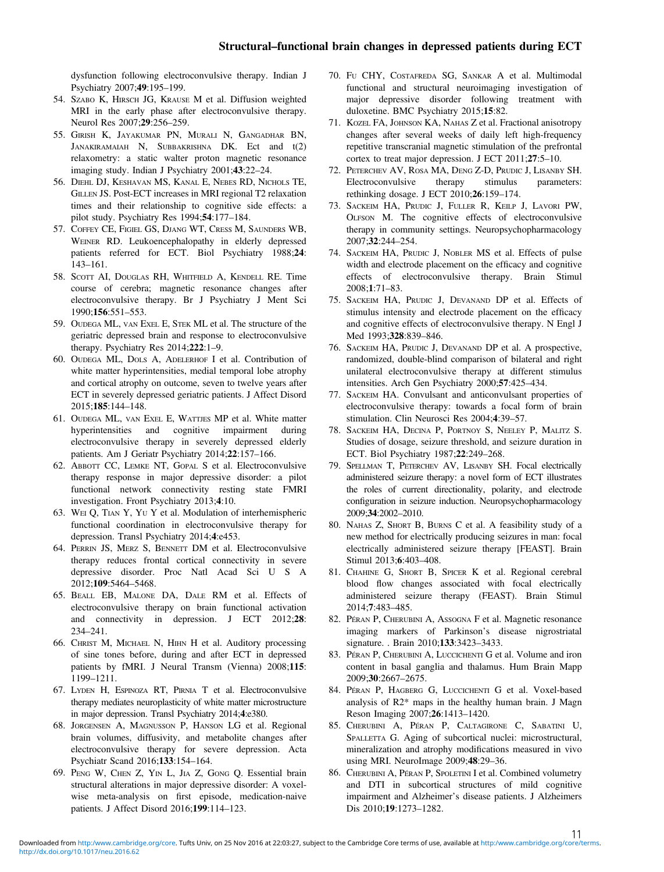<span id="page-10-0"></span>dysfunction following electroconvulsive therapy. Indian J Psychiatry 2007;49:195–199.

- 54. SZABO K, HIRSCH JG, KRAUSE M et al. Diffusion weighted MRI in the early phase after electroconvulsive therapy. Neurol Res 2007;29:256–259.
- 55. GIRISH K, JAYAKUMAR PN, MURALI N, GANGADHAR BN, JANAKIRAMAIAH N, SUBBAKRISHNA DK. Ect and  $t(2)$ relaxometry: a static walter proton magnetic resonance imaging study. Indian J Psychiatry 2001;43:22–24.
- 56. DIEHL DJ, KESHAVAN MS, KANAL E, NEBES RD, NICHOLS TE, GILLEN JS. Post-ECT increases in MRI regional T2 relaxation times and their relationship to cognitive side effects: a pilot study. Psychiatry Res 1994;54:177–184.
- 57. COFFEY CE, FIGIEL GS, DJANG WT, CRESS M, SAUNDERS WB, WEINER RD. Leukoencephalopathy in elderly depressed patients referred for ECT. Biol Psychiatry 1988;24: 143–161.
- 58. SCOTT AI, DOUGLAS RH, WHITFIELD A, KENDELL RE. Time course of cerebra; magnetic resonance changes after electroconvulsive therapy. Br J Psychiatry J Ment Sci 1990;156:551–553.
- 59. OUDEGA ML, VAN EXEL E, STEK ML et al. The structure of the geriatric depressed brain and response to electroconvulsive therapy. Psychiatry Res 2014;222:1–9.
- 60. OUDEGA ML, DOLS A, ADELERHOF I et al. Contribution of white matter hyperintensities, medial temporal lobe atrophy and cortical atrophy on outcome, seven to twelve years after ECT in severely depressed geriatric patients. J Affect Disord 2015;185:144–148.
- 61. OUDEGA ML, VAN EXEL E, WATTJES MP et al. White matter hyperintensities and cognitive impairment during electroconvulsive therapy in severely depressed elderly patients. Am J Geriatr Psychiatry 2014;22:157–166.
- 62. ABBOTT CC, LEMKE NT, GOPAL S et al. Electroconvulsive therapy response in major depressive disorder: a pilot functional network connectivity resting state FMRI investigation. Front Psychiatry 2013;4:10.
- 63. WEI Q, TIAN Y, YU Y et al. Modulation of interhemispheric functional coordination in electroconvulsive therapy for depression. Transl Psychiatry 2014;4:e453.
- 64. PERRIN JS, MERZ S, BENNETT DM et al. Electroconvulsive therapy reduces frontal cortical connectivity in severe depressive disorder. Proc Natl Acad Sci U S A 2012;109:5464–5468.
- 65. BEALL EB, MALONE DA, DALE RM et al. Effects of electroconvulsive therapy on brain functional activation and connectivity in depression. J ECT 2012;28: 234–241.
- 66. CHRIST M, MICHAEL N, HIHN H et al. Auditory processing of sine tones before, during and after ECT in depressed patients by fMRI. J Neural Transm (Vienna) 2008;115: 1199–1211.
- 67. LYDEN H, ESPINOZA RT, PIRNIA T et al. Electroconvulsive therapy mediates neuroplasticity of white matter microstructure in major depression. Transl Psychiatry 2014;4:e380.
- 68. JORGENSEN A, MAGNUSSON P, HANSON LG et al. Regional brain volumes, diffusivity, and metabolite changes after electroconvulsive therapy for severe depression. Acta Psychiatr Scand 2016;133:154–164.
- 69. PENG W, CHEN Z, YIN L, JIA Z, GONG Q. Essential brain structural alterations in major depressive disorder: A voxelwise meta-analysis on first episode, medication-naive patients. J Affect Disord 2016;199:114–123.
- 70. FU CHY, COSTAFREDA SG, SANKAR A et al. Multimodal functional and structural neuroimaging investigation of major depressive disorder following treatment with duloxetine. BMC Psychiatry 2015;15:82.
- 71. KOZEL FA, JOHNSON KA, NAHAS Z et al. Fractional anisotropy changes after several weeks of daily left high-frequency repetitive transcranial magnetic stimulation of the prefrontal cortex to treat major depression. J ECT 2011;27:5–10.
- 72. PETERCHEV AV, ROSA MA, DENG Z-D, PRUDIC J, LISANBY SH. Electroconvulsive therapy stimulus parameters: rethinking dosage. J ECT 2010;26:159–174.
- 73. SACKEIM HA, PRUDIC J, FULLER R, KEILP J, LAVORI PW, OLFSON M. The cognitive effects of electroconvulsive therapy in community settings. Neuropsychopharmacology 2007;32:244–254.
- 74. SACKEIM HA, PRUDIC J, NOBLER MS et al. Effects of pulse width and electrode placement on the efficacy and cognitive effects of electroconvulsive therapy. Brain Stimul 2008;1:71–83.
- 75. SACKEIM HA, PRUDIC J, DEVANAND DP et al. Effects of stimulus intensity and electrode placement on the efficacy and cognitive effects of electroconvulsive therapy. N Engl J Med 1993;328:839–846.
- 76. SACKEIM HA, PRUDIC J, DEVANAND DP et al. A prospective, randomized, double-blind comparison of bilateral and right unilateral electroconvulsive therapy at different stimulus intensities. Arch Gen Psychiatry 2000;57:425–434.
- 77. SACKEIM HA. Convulsant and anticonvulsant properties of electroconvulsive therapy: towards a focal form of brain stimulation. Clin Neurosci Res 2004;4:39–57.
- 78. SACKEIM HA, DECINA P, PORTNOY S, NEELEY P, MALITZ S. Studies of dosage, seizure threshold, and seizure duration in ECT. Biol Psychiatry 1987;22:249–268.
- 79. SPELLMAN T, PETERCHEV AV, LISANBY SH. Focal electrically administered seizure therapy: a novel form of ECT illustrates the roles of current directionality, polarity, and electrode configuration in seizure induction. Neuropsychopharmacology 2009;34:2002–2010.
- 80. NAHAS Z, SHORT B, BURNS C et al. A feasibility study of a new method for electrically producing seizures in man: focal electrically administered seizure therapy [FEAST]. Brain Stimul 2013;6:403–408.
- 81. CHAHINE G, SHORT B, SPICER K et al. Regional cerebral blood flow changes associated with focal electrically administered seizure therapy (FEAST). Brain Stimul 2014;7:483–485.
- 82. PÉRAN P, CHERUBINI A, ASSOGNA F et al. Magnetic resonance imaging markers of Parkinson's disease nigrostriatal signature. . Brain 2010;133:3423–3433.
- 83. PÉRAN P, CHERUBINI A, LUCCICHENTI G et al. Volume and iron content in basal ganglia and thalamus. Hum Brain Mapp 2009;30:2667–2675.
- 84. PÉRAN P, HAGBERG G, LUCCICHENTI G et al. Voxel-based analysis of R2\* maps in the healthy human brain. J Magn Reson Imaging 2007;26:1413–1420.
- 85. CHERUBINI A, PÉRAN P, CALTAGIRONE C, SABATINI U, SPALLETTA G. Aging of subcortical nuclei: microstructural, mineralization and atrophy modifications measured in vivo using MRI. NeuroImage 2009;48:29–36.
- 86. CHERUBINI A, PÉRAN P, SPOLETINI I et al. Combined volumetry and DTI in subcortical structures of mild cognitive impairment and Alzheimer's disease patients. J Alzheimers Dis 2010;19:1273–1282.